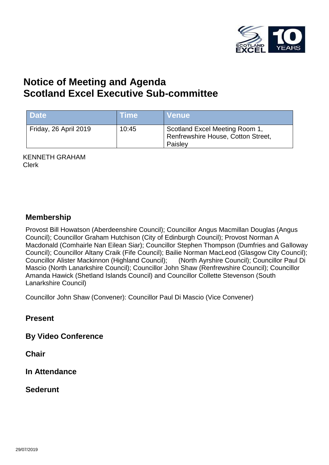

# **Notice of Meeting and Agenda Scotland Excel Executive Sub-committee**

| <b>Date</b>           | <b>Time</b> | <b>Venue</b>                                                                    |
|-----------------------|-------------|---------------------------------------------------------------------------------|
| Friday, 26 April 2019 | 10:45       | Scotland Excel Meeting Room 1,<br>Renfrewshire House, Cotton Street,<br>Paisley |

KENNETH GRAHAM Clerk

#### **Membership**

Provost Bill Howatson (Aberdeenshire Council); Councillor Angus Macmillan Douglas (Angus Council); Councillor Graham Hutchison (City of Edinburgh Council); Provost Norman A Macdonald (Comhairle Nan Eilean Siar); Councillor Stephen Thompson (Dumfries and Galloway Council); Councillor Altany Craik (Fife Council); Bailie Norman MacLeod (Glasgow City Council); Councillor Alister Mackinnon (Highland Council); (North Ayrshire Council); Councillor Paul Di Mascio (North Lanarkshire Council); Councillor John Shaw (Renfrewshire Council); Councillor Amanda Hawick (Shetland Islands Council) and Councillor Collette Stevenson (South Lanarkshire Council)

Councillor John Shaw (Convener): Councillor Paul Di Mascio (Vice Convener)

**Present**

**By Video Conference**

**Chair**

**In Attendance**

**Sederunt**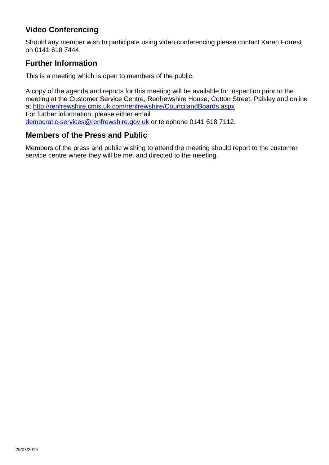## **Video Conferencing**

Should any member wish to participate using video conferencing please contact Karen Forrest on 0141 618 7444.

### **Further Information**

This is a meeting which is open to members of the public.

A copy of the agenda and reports for this meeting will be available for inspection prior to the meeting at the Customer Service Centre, Renfrewshire House, Cotton Street, Paisley and online at <http://renfrewshire.cmis.uk.com/renfrewshire/CouncilandBoards.aspx> For further information, please either email [democratic-services@renfrewshire.gov.uk](mailto:democratic-services@renfrewshire.gov.uk) or telephone 0141 618 7112.

#### **Members of the Press and Public**

Members of the press and public wishing to attend the meeting should report to the customer service centre where they will be met and directed to the meeting.